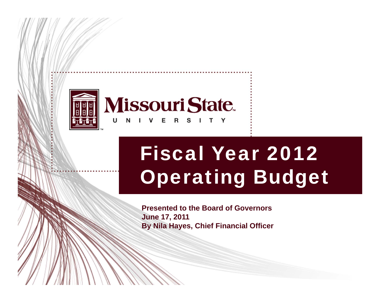

# Fiscal Year 2012 Operating Budget

**Presented to the Board of GovernorsJune 17, 2011 By Nila Hayes, Chief Financial Officer**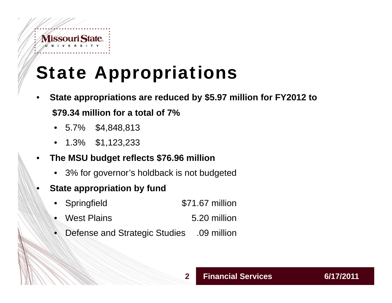# State Appropriations

- • **State appropriations are reduced by \$5.97 million for FY2012 to \$79.34 million for a total of 7%**
	- 5.7% \$4,848,813
	- •1.3% \$1,123,233
- • **The MSU budget reflects \$76.96 million** 
	- 3% for governor's holdback is not budgeted
- • **State appropriation by fund**
	- •Springfield \$71.67 million
	- •West Plains 5.20 million
	- •Defense and Strategic Studies .09 million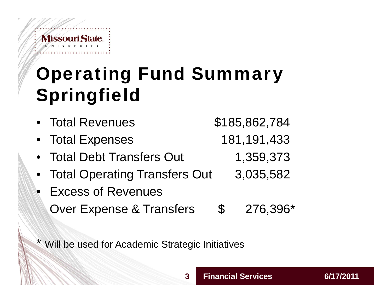# Operating Fund Summary Springfield

- •Total Revenues **\$185,862,784**
- Total Expenses 181,191,433
- •Total Debt Transfers Out 1,359,373
- Total Operating Transfers Out 3,035,582
- Excess of RevenuesOver Expense & Transfers \$ 276,396\*

\* Will be used for Academic Strategic Initiatives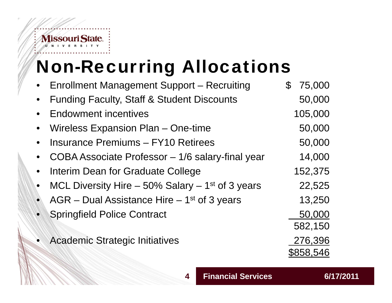#### Missouri State. UNIVERSITY

# Non-Recurring Allocations

| <b>Enrollment Management Support - Recruiting</b>               | S | 75,000    |
|-----------------------------------------------------------------|---|-----------|
| <b>Funding Faculty, Staff &amp; Student Discounts</b>           |   | 50,000    |
| <b>Endowment incentives</b>                                     |   | 105,000   |
| Wireless Expansion Plan - One-time                              |   | 50,000    |
| <b>Insurance Premiums - FY10 Retirees</b>                       |   | 50,000    |
| COBA Associate Professor - 1/6 salary-final year                |   | 14,000    |
| Interim Dean for Graduate College                               |   | 152,375   |
| MCL Diversity Hire $-50\%$ Salary $-1$ <sup>st</sup> of 3 years |   | 22,525    |
| AGR – Dual Assistance Hire – $1st$ of 3 years                   |   | 13,250    |
| <b>Springfield Police Contract</b>                              |   | 50,000    |
|                                                                 |   | 582,150   |
| <b>Academic Strategic Initiatives</b>                           |   | 276,396   |
|                                                                 |   | \$858,546 |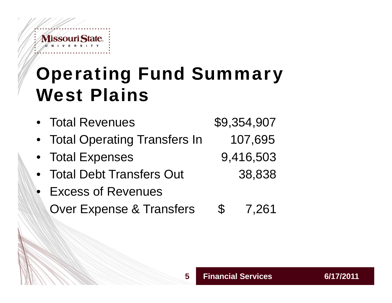#### Missouri State. N I V E R

# Operating Fund Summary West Plains

| • Total Revenues               | \$9,354,907 |
|--------------------------------|-------------|
| • Total Operating Transfers In | 107,695     |
| • Total Expenses               | 9,416,503   |
| • Total Debt Transfers Out     | 38,838      |
| • Excess of Revenues           |             |

Over Expense & Transfers \$ 7,261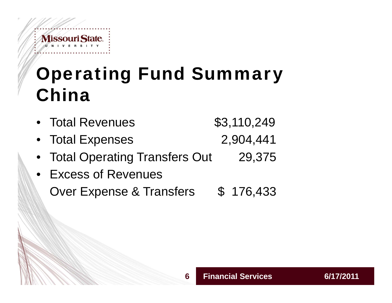# Operating Fund Summary China

- Total Revenues \$3,110,249
- Total Expenses 2,904,441
- •Total Operating Transfers Out 29,375
- Excess of RevenuesOver Expense & Transfers \$ 176,433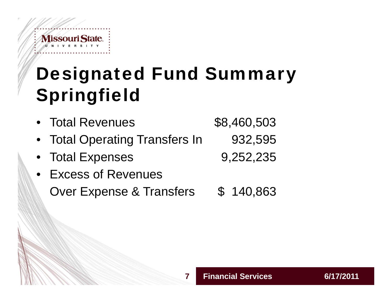# Designated Fund Summary Springfield

- •Total Revenues \$8,460,503
- Total Operating Transfers In 932,595
- •Total Expenses 9,252,235
- Excess of RevenuesOver Expense & Transfers \$ 140,863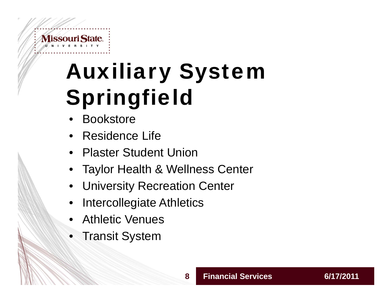# Auxiliary System Springfield

- •**Bookstore**
- •Residence Life
- Plaster Student Union
- •Taylor Health & Wellness Center

- •University Recreation Center
- •Intercollegiate Athletics
- $\bullet$ Athletic Venues
- •Transit System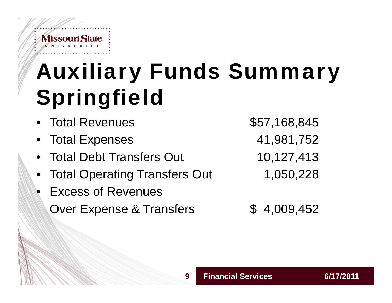# Auxiliary Funds Summary Springfield

- •Total Revenues **\$57,168,845**
- Total Expenses 41,981,752
- •Total Debt Transfers Out 10,127,413
- •Total Operating Transfers Out 1,050,228
- • Excess of Revenues Over Expense & Transfers \$4,009,452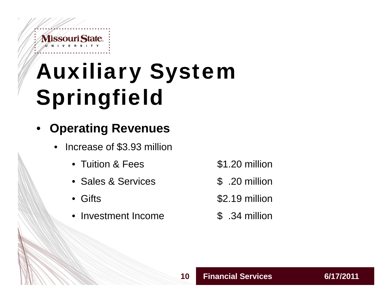# Auxiliary System Springfield

- **Operating Revenues**
	- $\bullet$  Increase of \$3.93 million
		- Tuition & Fees
		- Sales & Services \$ .20 million
		- •
		- Investment Income \$ .34 million
- \$1.20 million
- 
- Gifts **\$2.19 million** 
	-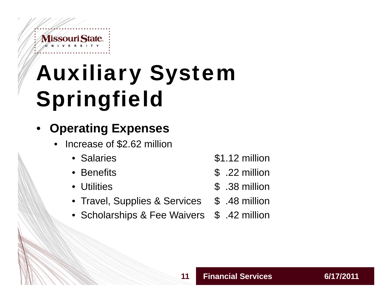# Auxiliary System Springfield

### • **Operating Expenses**

- $\bullet$  Increase of \$2.62 million
	- Salaries  $$1.12$  million
	- Benefits
	- Utilities
	- Travel, Supplies & Services \$ .48 million
	- Scholarships & Fee Waivers \$42 million
- 
- $$.22$  million
- \$ .38 million
- 
-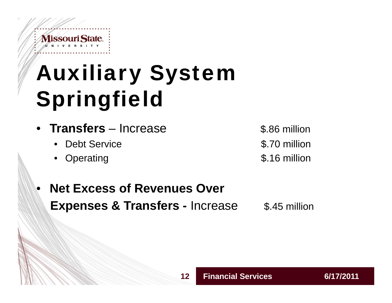# Auxiliary System Springfield

- Transfers Increase **\$.86 million** 
	- •Debt Service **\$.70 million**
	- •

Operating **\$.16 million** 

### • **Net Excess of Revenues Over Expenses & Transfers - Increase \$.45 million**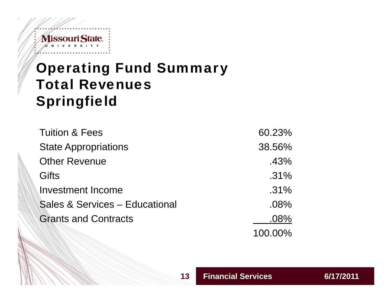#### Missouri State. UNIVERSITY

### Operating Fund Summary Total Revenues Springfield

| <b>Tuition &amp; Fees</b>      | 60.23%  |
|--------------------------------|---------|
| <b>State Appropriations</b>    | 38.56%  |
| <b>Other Revenue</b>           | .43%    |
| Gifts                          | $.31\%$ |
| Investment Income              | $.31\%$ |
| Sales & Services - Educational | .08%    |
| <b>Grants and Contracts</b>    | .08%    |
|                                | 100.00% |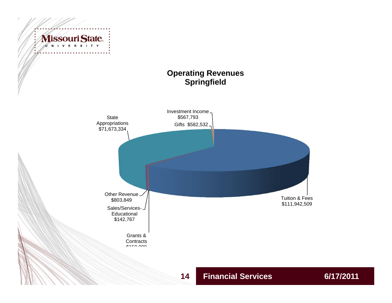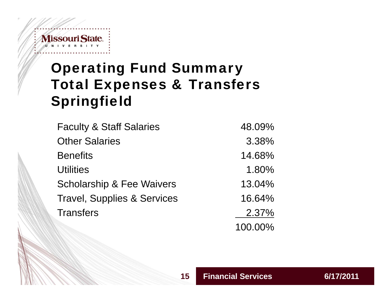#### Missouri State. **NIVERSIT**

### Operating Fund Summary Total Expenses & Transfers Springfield

| <b>Faculty &amp; Staff Salaries</b>    | 48.09%  |
|----------------------------------------|---------|
| <b>Other Salaries</b>                  | 3.38%   |
| <b>Benefits</b>                        | 14.68%  |
| <b>Utilities</b>                       | 1.80%   |
| <b>Scholarship &amp; Fee Waivers</b>   | 13.04%  |
| <b>Travel, Supplies &amp; Services</b> | 16.64%  |
| <b>Transfers</b>                       | 2.37%   |
|                                        | 100.00% |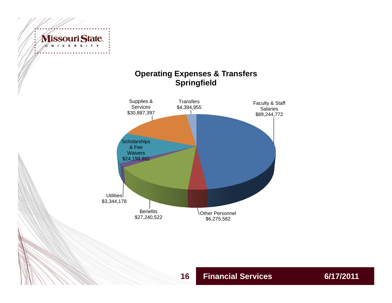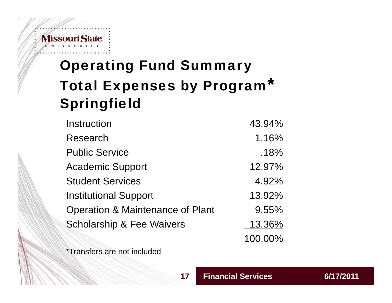#### Missouri State. **NIVER**

### Operating Fund Summary Total Expenses by Program<sup>\*</sup> **Springfield**

| Instruction                                 | 43.94%  |
|---------------------------------------------|---------|
| Research                                    | 1.16%   |
| <b>Public Service</b>                       | .18%    |
| <b>Academic Support</b>                     | 12.97%  |
| <b>Student Services</b>                     | 4.92%   |
| <b>Institutional Support</b>                | 13.92%  |
| <b>Operation &amp; Maintenance of Plant</b> | 9.55%   |
| <b>Scholarship &amp; Fee Waivers</b>        | 13.36%  |
|                                             | 100.00% |

**17**

\*Transfers are not included